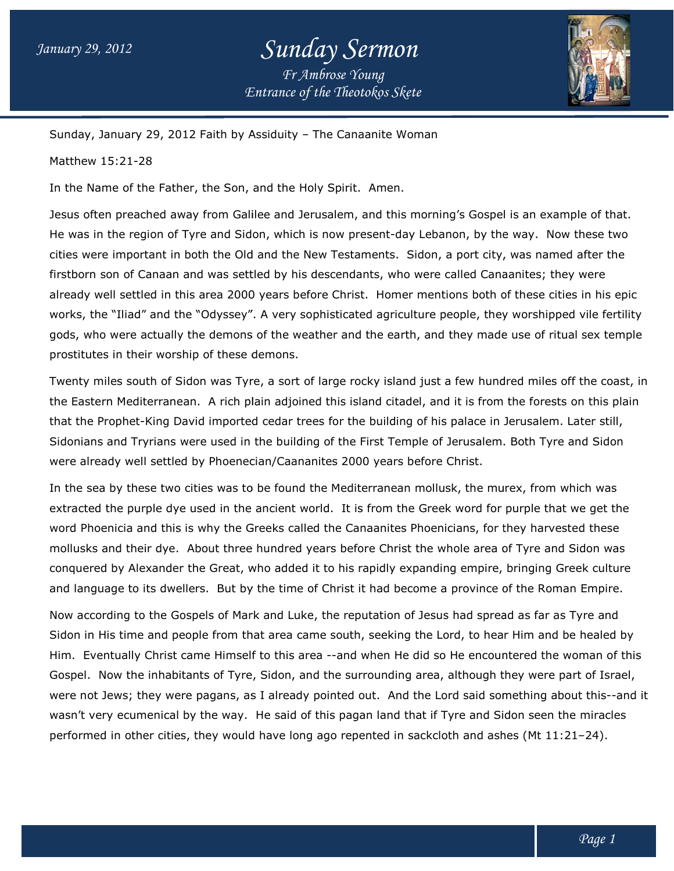## *Entrance of the Theotokos Skete Sunday Sermon Fr Ambrose Young*



Sunday, January 29, 2012 Faith by Assiduity – The Canaanite Woman

Matthew 15:21-28

In the Name of the Father, the Son, and the Holy Spirit. Amen.

Jesus often preached away from Galilee and Jerusalem, and this morning's Gospel is an example of that. Jesus often preached away from Galilee and Jerusalem, and this morning's Gospel is an example of that.<br>He was in the region of Tyre and Sidon, which is now present-day Lebanon, by the way. Now these two cities were important in both the Old and the New Testaments. Sidon, a port city, was named after the firstborn son of Canaan and was settled by his descendants, who were called Canaanites; they were already well settled in this area 2000 years before Christ. Homer mentions both of these cities in his epic works, the "Iliad" and the "Odyssey". A very sophisticated agriculture people, they worshipped vile fertility gods, who were actually the demons of the weather and the earth, and they made use of ritual sex temple prostitutes in their worship of these demons.

Twenty miles south of Sidon was Tyre, a sort of large rocky island just a few hundred miles off the coast, in the Eastern Mediterranean. A rich plain adjoined this island citadel, and it is from the forests on this plain that the Prophet-King David imported cedar trees for the building of his palace in Jerusalem. Later still, Sidonians and Tryrians were used in the building of the First Temple of Jerusalem. Both Tyre and Sidon were already well settled by Phoenecian/Caananites 2000 years before Christ. the "Iliad" and the "Odyssey". A very sophisticated agriculture people, they worshipped vile fertility<br>ho were actually the demons of the weather and the earth, and they made use of ritual sex temple<br>ites in their worship

In the sea by these two cities was to be found the Mediterranean mollusk, the murex, from which was were already well settled by Phoenecian/Caananites 2000 years before Christ.<br>In the sea by these two cities was to be found the Mediterranean mollusk, the murex, from which was<br>extracted the purple dye used in the ancient word Phoenicia and this is why the Greeks called the Canaanites Phoenicians, for they harvested these word Phoenicia and this is why the Greeks called the Canaanites Phoenicians, for they harvested these<br>mollusks and their dye. About three hundred years before Christ the whole area of Tyre and Sidon was conquered by Alexander the Great, who added it to his rapidly expanding empire, bringing Greek culture and language to its dwellers. But by the time of Christ it had become a province of the Roman Empire. nents. Sidon, a port city, was named after the<br>tts, who were called Canaanites; they were<br>Homer mentions both of these cities in his ep<br>d agriculture people, they worshipped vile fertil<br>the earth, and they made use of ritu

Now according to the Gospels of Mark and Luke, the reputation of Jesus had spread as far as Tyre and Sidon in His time and people from that area came south, seeking the Lord, to hear Him and be healed by Him. Eventually Christ came Himself to this area --and when He did so He encountered the woman of this Gospel. Now the inhabitants of Tyre, Sidon, and the surrounding area, although they were part of Israel, Him. Eventually Christ came Himself to this area --and when He did so He encountered the woman of this<br>Gospel. Now the inhabitants of Tyre, Sidon, and the surrounding area, although they were part of Israel,<br>were not Jews; wasn't very ecumenical by the way. He said of this pagan land that if Tyre and Sidon seen the miracles performed in other cities, they would have long ago repented in sackcloth and ashes (Mt 11:21-24). ered by Alexander the Great, who added it to his rapidly expanding empire, bringing Greek culture<br>nguage to its dwellers. But by the time of Christ it had become a province of the Roman Empire.<br>ccording to the Gospels of M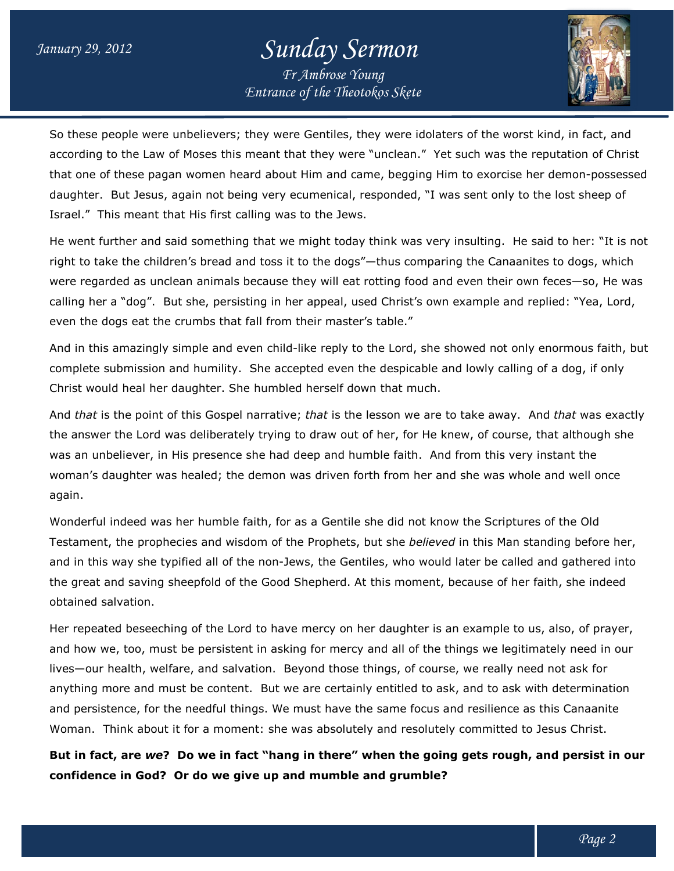## *Entrance of the Theotokos Skete Sunday Sermon Fr Ambrose Young*



So these people were unbelievers; they were Gentiles, they were idolaters of the worst kind, in fact, and according to the Law of Moses this meant that they were "unclean." Yet such was the reputation of Christ So these people were unbelievers; they were Gentiles, they were idolaters of the worst kind, in fact, and<br>according to the Law of Moses this meant that they were "unclean." Yet such was the reputation of Christ<br>that one of daughter. But Jesus, again not being very ecumenical, responded, "I was sent only to the lost sheep of Israel." This meant that His first calling was to the Jews. daughter. But Jesus, again not being very ecumenical, responded, "I was sent only to the lost sheep of<br>Israel." This meant that His first calling was to the Jews.<br>He went further and said something that we might today th

right to take the children's bread and toss it to the dogs"—thus comparing the Canaanites to dogs, which right to take the children's bread and toss it to the dogs"—thus comparing the Canaanites to dogs, which<br>were regarded as unclean animals because they will eat rotting food and even their own feces—so, He was calling her a "dog". But she, persisting in her appeal, used Christ's own example and replied: "Yea, Lord, even the dogs eat the crumbs that fall from their master's table." regarded as unclean animals because they will eat rotting food and even their own feces—so, He was<br>g her a "dog". But she, persisting in her appeal, used Christ's own example and replied: "Yea, Lord,<br>the dogs eat the crumb

And in this amazingly simple and even child-like reply to the Lord, she showed not only enormous faith, but complete submission and humility. She accepted even the despicable and lowly calling of a dog, if only Christ would heal her daughter. She humbled herself down that much. complete submission and humility. She accepted even the despicable and lowly calling of a dog, if only<br>Christ would heal her daughter. She humbled herself down that much.<br>And *that* is the point of this Gospel narrative;

the answer the Lord was deliberately trying to draw out of her, for He knew, of course, that although she was an unbeliever, in His presence she had deep and humble faith. And from this very instant the woman's daughter was healed; the demon was driven forth from her and she was whole and well once again.

Wonderful indeed was her humble faith, for as a Gentile she did not know the Scriptures of the Old woman's daughter was healed; the demon was driven forth from her and she was whole and well once<br>again.<br>Wonderful indeed was her humble faith, for as a Gentile she did not know the Scriptures of the Old<br>Testament, the prop and in this way she typified all of the non-Jews, the Gentiles, who would later be called and gathered into the great and saving sheepfold of the Good Shepherd. At this moment, because of her faith, obtained salvation. the Prophets, but she *believed* in this Man standing before her<br>Jews, the Gentiles, who would later be called and gathered int<br>d Shepherd. At this moment, because of her faith, she indeed

Her repeated beseeching of the Lord to have mercy on her daughter is an example to us, also, of prayer, and how we, too, must be persistent in asking for mercy and all of the things we legitimately need in our lives—our health, welfare, and salvation. Beyond those things, of course, we really need not ask for anything more and must be content. But we are certainly entitled to ask, and to ask with determination and persistence, for the needful things. We must have the same focus and resilience as this Canaanite Woman. Think about it for a moment: she was absolutely and resolutely committed to Jesus Christ. I saving sheepfold of the Good Shepherd. At this moment, because of her faith, she inde<br>ation.<br>beseeching of the Lord to have mercy on her daughter is an example to us, also, of pra<br>too, must be persistent in asking for me

But in fact, are *we*? Do we in fact "hang in there" when the going gets rough, and persist in our<br>confidence in God? Or do we give up and mumble and grumble? **confidence in God? Or do we give up and mumble and grumble?**